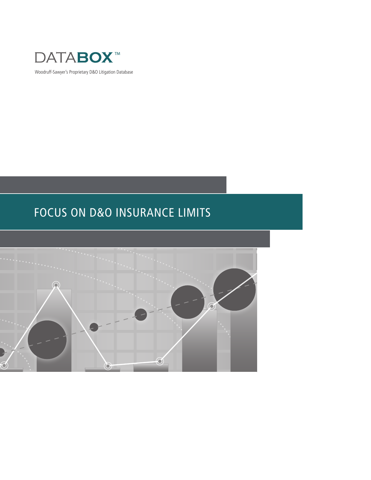

Woodruff-Sawyer's Proprietary D&O Litigation Database

# FOCUS ON D&O INSURANCE LIMITS

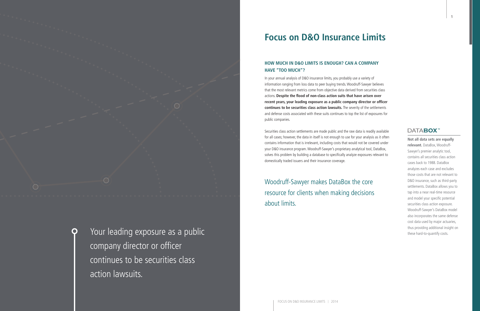# **Focus on D&O Insurance Limits**

### **HOW MUCH IN D&O LIMITS IS ENOUGH? CAN A COMPANY HAVE "TOO MUCH"?**

In your annual analysis of D&O insurance limits, you probably use a variety of information ranging from loss data to peer buying trends. Woodruff-Sawyer believes that the most relevant metrics come from objective data derived from securities class actions. **Despite the flood of non-class action suits that have arisen over recent years, your leading exposure as a public company director or officer continues to be securities class action lawsuits.** The severity of the settlements and defense costs associated with these suits continues to top the list of exposures for public companies.

Securities class action settlements are made public and the raw data is readily available for all cases; however, the data in itself is not enough to use for your analysis as it often contains information that is irrelevant, including costs that would not be covered under your D&O insurance program. Woodruff-Sawyer's proprietary analytical tool, DataBox, solves this problem by building a database to specifically analyze exposures relevant to domestically traded issuers and their insurance coverage.



Your leading exposure as a public these hard-to-quantify costs. company director or officer continues to be securities class action lawsuits.

Woodruff-Sawyer makes DataBox the core resource for clients when making decisions about limits.

### **DATABOX**

**Not all data sets are equally relevant.** DataBox, Woodruff-Sawyer's premier analytic tool, contains all securities class action cases back to 1988. DataBox analyzes each case and excludes those costs that are not relevant to D&O insurance, such as third-party settlements. DataBox allows you to tap into a near real-time resource and model your specific potential securities class action exposure. Woodruff-Sawyer's DataBox model also incorporates the same defense cost data used by major actuaries, thus providing additional insight on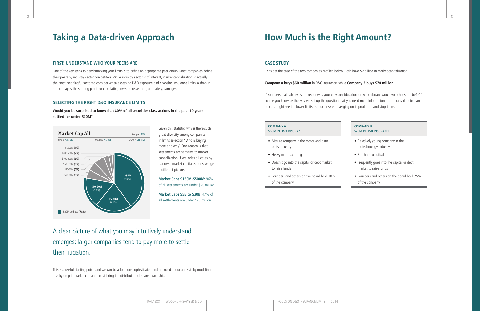2

# **Taking a Data-driven Approach**

#### **FIRST: UNDERSTAND WHO YOUR PEERS ARE**

One of the key steps to benchmarking your limits is to define an appropriate peer group. Most companies define their peers by industry sector competitors. While industry sector is of interest, market capitalization is actually the most meaningful factor to consider when assessing D&O exposure and choosing insurance limits. A drop in market cap is the starting point for calculating investor losses and, ultimately, damages.

#### **SELECTING THE RIGHT D&O INSURANCE LIMITS**

**Would you be surprised to know that 80% of all securities class actions in the past 10 years settled for under \$20M?** 

> Given this statistic, why is there such great diversity among companies in limits selection? Who is buying more and why? One reason is that settlements are sensitive to market capitalization. If we index all cases by narrower market capitalizations, we get a different picture:

> **Market Caps \$150M-\$500M:** 96% of all settlements are under \$20 million

**Market Caps \$5B to \$30B:** 47% of all settlements are under \$20 million

A clear picture of what you may intuitively understand emerges: larger companies tend to pay more to settle their litigation.

This is a useful starting point, and we can be a lot more sophisticated and nuanced in our analysis by modeling loss by drop in market cap and considering the distribution of share ownership.

# **How Much is the Right Amount?**

#### **CASE STUDY**

Consider the case of the two companies profiled below. Both have \$2 billion in market capitalization.

**Company A buys \$60 million** in D&O insurance, while **Company B buys \$20 million**.

If your personal liability as a director was your only consideration, on which board would you choose to be? Of course you know by the way we set up the question that you need more information—but many directors and officers might see the lower limits as much riskier—verging on imprudent—and stop there.

#### **COMPANY A** \$60M IN D&O INSURANCE

#### **COMPANY B** \$20M IN D&O INSURANCE

- Mature company in the motor and auto parts industry
- Heavy manufacturing
- Doesn't go into the capital or debt market to raise funds
- Founders and others on the board hold 10% of the company

- Relatively young company in the biotechnology industry
- Biopharmaceutical
- Frequently goes into the capital or debt market to raise funds
- Founders and others on the board hold 75% of the company

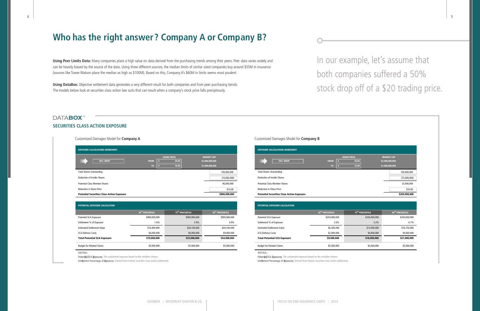# **Who has the right answer? Company A or Company B?**

**Using Peer Limits Data:** Many companies place a high value on data derived from the purchasing trends among their peers. Peer data varies widely and can be heavily biased by the source of the data. Using three different sources, the median limits of similar sized companies buy around \$55M in insurance (sources like Tower Watson place the median as high as \$100M). Based on this, Company A's \$60M in limits seems most prudent.

**Using DataBox:** Objective settlement data generates a very different result for both companies and from peer purchasing trends. The models below look at securities class action law suits that can result when a company's stock price falls precipitously.

### **DATABOX SECURITIES CLASS ACTION EXPOSURE**

| <b>EXPOSURE CALCULATIONS WORKSHEET</b>            |                    |       |                   |
|---------------------------------------------------|--------------------|-------|-------------------|
|                                                   | <b>SHARE PRICE</b> |       | <b>MARKET CAP</b> |
| <b>50% DROP</b><br><b>FROM</b>                    | l s                | 20.00 | \$2,000,000,000   |
| T <sub>0</sub>                                    | -S                 | 10.00 | \$1,000,000,000   |
| <b>Total Shares Outstanding</b>                   |                    |       | 100,000,000       |
| Deduction of Insider Shares                       |                    |       | (10,000,000)      |
| <b>Potential Class Member Shares</b>              |                    |       | 90,000,000        |
| <b>Reduction in Share Price</b>                   |                    |       | \$10.00           |
| <b>Potential Securities Class Action Exposure</b> |                    |       | \$900,000,000     |

| <b>POTENTIAL EXPOSURE CALCULATION</b> |                             |                             |                             |
|---------------------------------------|-----------------------------|-----------------------------|-----------------------------|
|                                       | 50 <sup>th</sup> PERCENTILE | 75 <sup>th</sup> PERCENTILE | 85 <sup>th</sup> PERCENTILE |
| <b>Potential SCA Exposure</b>         | \$900,000,000               | \$900,000,000               | \$900,000,000               |
| Settlement % of Exposure              | 1.6%                        | 2.9%                        | 4.9%                        |
| <b>Estimated Settlement Value</b>     | \$14,400,000                | \$26,100,000                | \$44,100,000                |
| <b>SCA Defense Costs</b>              | \$4,000,000                 | \$6,000,000                 | \$9,000,000                 |
| <b>Total Potential SCA Exposure</b>   | \$19,000,000                | \$33,000,000                | \$54,000,000                |
| <b>Budget for Related Claims</b>      | \$5,000,000                 | \$5,000,000                 | \$5,000,000                 |

DETAIL:

Potential SCA Exposure: The customized exposure based on the variables chosen.

Settlement Percentage of Exposure: Derived from historic securities class action settlements

| JХ                                                |                             |                                      |                                                         |                                                   |                             |                                      |                                                         |
|---------------------------------------------------|-----------------------------|--------------------------------------|---------------------------------------------------------|---------------------------------------------------|-----------------------------|--------------------------------------|---------------------------------------------------------|
| <b>CLASS ACTION EXPOSURE</b>                      |                             |                                      |                                                         |                                                   |                             |                                      |                                                         |
| Customized Damages Model for <b>Company A</b>     |                             |                                      |                                                         | Customized Damages Model for Company B            |                             |                                      |                                                         |
| <b>EXPOSURE CALCULATIONS WORKSHEET</b>            |                             |                                      |                                                         | <b>EXPOSURE CALCULATIONS WORKSHEET</b>            |                             |                                      |                                                         |
| $50\%$ DROP                                       | <b>FROM</b><br>۱s<br>TO:    | <b>SHARE PRICE</b><br>20.00<br>10.00 | <b>MARKET CAP</b><br>\$2,000,000,000<br>\$1,000,000,000 | <b>50% DROP</b>                                   | <b>FROM</b><br>TO:          | <b>SHARE PRICE</b><br>20.00<br>10.00 | <b>MARKET CAP</b><br>\$2,000,000,000<br>\$1,000,000,000 |
| <b>Total Shares Outstanding</b>                   |                             |                                      | 100,000,000                                             | <b>Total Shares Outstanding</b>                   |                             |                                      | 100,000,000                                             |
| Deduction of Insider Shares                       |                             |                                      | (10,000,000)                                            | <b>Deduction of Insider Shares</b>                |                             |                                      | (75,000,000)                                            |
| <b>Potential Class Member Shares</b>              |                             |                                      | 90,000,000                                              | <b>Potential Class Member Shares</b>              |                             |                                      | 25,000,000                                              |
| <b>Reduction in Share Price</b>                   |                             |                                      | \$10.00                                                 | <b>Reduction in Share Price</b>                   |                             |                                      | \$10.00                                                 |
| <b>Potential Securities Class Action Exposure</b> |                             |                                      | \$900,000,000                                           | <b>Potential Securities Class Action Exposure</b> |                             |                                      | \$250,000,000                                           |
| POTENTIAL EXPOSURE CALCULATION                    |                             |                                      |                                                         | POTENTIAL EXPOSURE CALCULATION                    |                             |                                      |                                                         |
|                                                   | 50 <sup>th</sup> PERCENTILE | 75 <sup>th</sup> PERCENTILE          | 85 <sup>th</sup> PERCENTILE                             |                                                   | 50 <sup>th</sup> PERCENTILE | 75 <sup>th</sup> PERCENTILE          | 85 <sup>th</sup> PERCENTILE                             |
| Potential SCA Exposure                            | \$900,000,000               | \$900,000,000                        | \$900,000,000                                           | Potential SCA Exposure                            | \$250,000,000               | \$250,000,000                        | \$250,000,000                                           |
| Settlement % of Exposure                          | 1.6%                        | 2.9%                                 | 4.9%                                                    | Settlement % of Exposure                          | 2.6%                        | 5.2%                                 | 6.7%                                                    |
| <b>Estimated Settlement Value</b>                 | \$14,400,000                | \$26,100,000                         | \$44,100,000                                            | <b>Estimated Settlement Value</b>                 | \$6,500,000                 | \$13,000,000                         | \$16,750,000                                            |
| <b>SCA Defense Costs</b>                          | \$4,000,000                 | \$6,000,000                          | \$9,000,000                                             | <b>SCA Defense Costs</b>                          | \$2,000,000                 | \$4,000,000                          | \$4,000,000                                             |
| <b>Total Potential SCA Exposure</b>               | \$19,000,000                | \$33,000,000                         | \$54,000,000                                            | <b>Total Potential SCA Exposure</b>               | \$9,000,000                 | \$18,000,000                         | \$21,000,000                                            |

DETAIL:

Potential SCA Exposure: The customized exposure based on the variables chosen. Settlement Percentage of Exposure: Derived from historic securities class action settlements.

| Customized Damages Model for Company B                              |                             |
|---------------------------------------------------------------------|-----------------------------|
|                                                                     |                             |
| <b>EXPOSURE CALCULATIONS WORKSHEET</b>                              |                             |
| <b>SHARE PRICE</b>                                                  | <b>MARKET CAP</b>           |
| $\overline{\phantom{a}}$<br><b>50% DROP</b><br><b>FROM</b><br>20.00 | \$2,000,000,000             |
| $\sim$<br>10.00<br>T <sub>0</sub>                                   | \$1,000,000,000             |
| <b>Total Shares Outstanding</b>                                     | 100,000,000                 |
| <b>Deduction of Insider Shares</b>                                  | (75,000,000)                |
| <b>Potential Class Member Shares</b>                                | 25,000,000                  |
| <b>Reduction in Share Price</b>                                     | \$10.00                     |
| <b>Potential Securities Class Action Exposure</b>                   | \$250,000,000               |
|                                                                     |                             |
| POTENTIAL EXPOSURE CALCULATION                                      |                             |
| 50 <sup>th</sup> PERCENTILE<br>75 <sup>th</sup> PERCENTILE          | 85 <sup>th</sup> PERCENTILE |
| Potential SCA Exposure<br>\$250,000,000<br>\$250,000,000            | \$250,000,000               |
| Settlement % of Exposure<br>2.6%<br>5.2%                            | 6.7%                        |
| <b>Estimated Settlement Value</b><br>\$6,500,000<br>\$13,000,000    | \$16,750,000                |
|                                                                     |                             |
| <b>SCA Defense Costs</b><br>\$2,000,000<br>\$4,000,000              | \$4,000,000                 |
| <b>Total Potential SCA Exposure</b><br>\$9,000,000<br>\$18,000,000  | \$21,000,000                |

# In our example, let's assume that both companies suffered a 50% stock drop off of a \$20 trading price.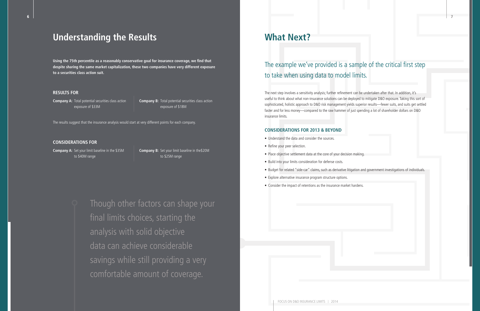# **Understanding the Results**

**Using the 75th percentile as a reasonably conservative goal for insurance coverage, we find that despite sharing the same market capitalization, these two companies have very different exposure to a securities class action suit.** 

#### **RESULTS FOR**

**Company A:** Total potential securities class action exposure of \$33M

**Company B:** Total potential securities class action exposure of \$18M

The results suggest that the insurance analysis would start at very different points for each company.

#### **CONSIDERATIONS FOR**

**Company A:** Set your limit baseline in the \$35M to \$40M range

**Company B:** Set your limit baseline in the\$20M to \$25M range

# **What Next?**

The example we've provided is a sample of the critical first step to take when using data to model limits.

The next step involves a sensitivity analysis; further refinement can be undertaken after that. In addition, it's useful to think about what non-insurance solutions can be deployed to mitigate D&O exposure. Taking this sort of sophisticated, holistic approach to D&O risk management yields superior results—fewer suits, and suits get settled faster and for less money—compared to the raw hammer of just spending a lot of shareholder dollars on D&O insurance limits.

#### **CONSIDERATIONS FOR 2013 & BEYOND**

- Understand the data and consider the sources.
- Refine your peer selection.
- Place objective settlement data at the core of your decision making.
- Build into your limits consideration for defense costs.
- 
- Explore alternative insurance program structure options.
- Consider the impact of retentions as the insurance market hardens.

• Budget for related "side-car" claims, such as derivative litigation and government investigations of individuals.

Though other factors can shape your final limits choices, starting the analysis with solid objective data can achieve considerable savings while still providing a very comfortable amount of coverage.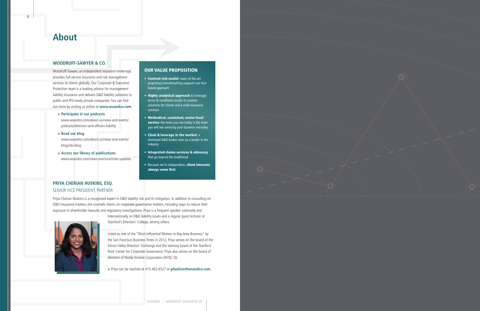

## **About**

#### **WOODRUFF-SAWYER & CO.**

Woodruff-Sawyer, an independent insurance brokerage, provides full-service insurance and risk management services to clients globally. Our Corporate & Executive Protection team is a leading advisor for management liability insurance and delivers D&O liability solutions to public and IPO-ready private companies. You can find out more by visiting us online at **www.wsandco.com.**

#### **> [Participate in our podcasts](http://www.wsandco.com/about-us/news-and-events/podcasts/directors-and-officers-liability)**

[www.wsandco.com/about-us/news-and-events/](http://www.wsandco.com/about-us/news-and-events/podcasts/directors-and-officers-liability) [podcasts/directors-and-officers-liability](http://www.wsandco.com/about-us/news-and-events/podcasts/directors-and-officers-liability)

- **> [Read our blog](http://www.wsandco.com/about-us/news-and-events/blogs/do-blog)** [www.wsandco.com/about-us/news-and-events/](http://www.wsandco.com/about-us/news-and-events/blogs/do-blog)  [blogs/do-blog](http://www.wsandco.com/about-us/news-and-events/blogs/do-blog)
- **> [Access our library of publications](http://www.wsandco.com/news-events/articles-updates)**  [www.wsandco.com/news-events/articles-updates](http://www.wsandco.com/news-events/articles-updates)

### **PRIYA CHERIAN HUSKINS, ESQ.** SENIOR VICE PRESIDENT, PARTNER

Priya Cherian Huskins is a recognized expert in D&O liability risk and its mitigation. In addition to consulting on D&O insurance matters, she counsels clients on corporate governance matters, including ways to reduce their exposure to shareholder lawsuits and regulatory investigations. Priya is a frequent speaker nationally and



internationally on D&O liability issues and a regular guest lecturer at Stanford's Directors' College, among others.

Listed as one of the "Most Influential Women in Bay Area Business" by the San Francisco Business Times in 2012, Priya serves on the board of the Silicon Valley Directors' Exchange and the advisory board of the Stanford Rock Center for Corporate Governance. Priya also serves on the board of directors of Realty Income Corporation (NYSE: O).

**>** Priya can be reached at 415.402.6527 or **phuskins@wsandco.com.**

### OUR VALUE PROPOSITION

- Content-rich model: state-of-the-art proprietary benchmarking supports our factbased approach
- Highly analytical approach to coverage terms & conditions results in creative solutions for clients and a solid insurance contract
- Methodical, consistent, senior-level service: the team you see today is the team you will see servicing your business everyday
- Clout & leverage in the market: a dominant D&O broker seen as a leader in the industry
- Integrated claims services & advocacy that go beyond the traditional
- Because we're independent, client interests always come first